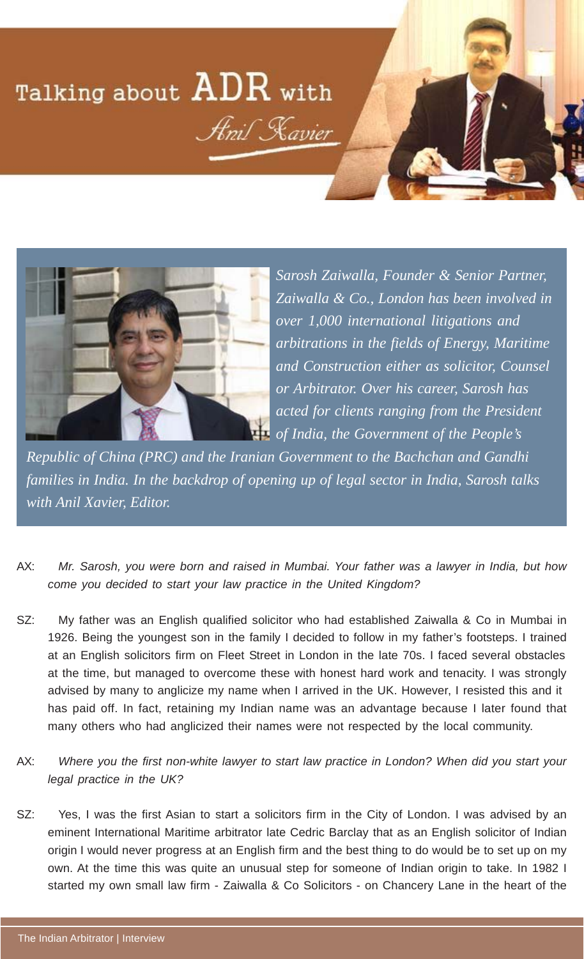## Talking about  ${\rm ADR}$  with **Anil Kavier**



*Sarosh Zaiwalla, Founder & Senior Partner, Zaiwalla & Co., London has been involved in over 1,000 international litigations and arbitrations in the fields of Energy, Maritime and Construction either as solicitor, Counsel or Arbitrator. Over his career, Sarosh has acted for clients ranging from the President of India, the Government of the People's*

*Republic of China (PRC) and the Iranian Government to the Bachchan and Gandhi families in India. In the backdrop of opening up of legal sector in India, Sarosh talks with Anil Xavier, Editor.*

- AX: *Mr. Sarosh, you were born and raised in Mumbai. Your father was a lawyer in India, but how come you decided to start your law practice in the United Kingdom?*
- SZ: My father was an English qualified solicitor who had established Zaiwalla & Co in Mumbai in 1926. Being the youngest son in the family I decided to follow in my father's footsteps. I trained at an English solicitors firm on Fleet Street in London in the late 70s. I faced several obstacles at the time, but managed to overcome these with honest hard work and tenacity. I was strongly advised by many to anglicize my name when I arrived in the UK. However, I resisted this and it has paid off. In fact, retaining my Indian name was an advantage because I later found that many others who had anglicized their names were not respected by the local community.
- AX: *Where you the first non-white lawyer to start law practice in London? When did you start your legal practice in the UK?*
- SZ: Yes, I was the first Asian to start a solicitors firm in the City of London. I was advised by an eminent International Maritime arbitrator late Cedric Barclay that as an English solicitor of Indian origin I would never progress at an English firm and the best thing to do would be to set up on my own. At the time this was quite an unusual step for someone of Indian origin to take. In 1982 I started my own small law firm - Zaiwalla & Co Solicitors - on Chancery Lane in the heart of the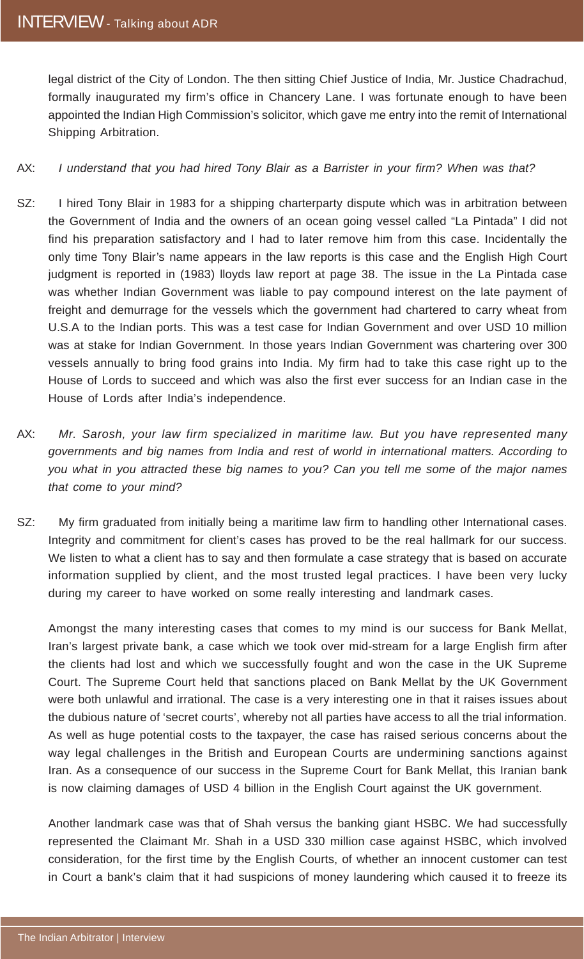legal district of the City of London. The then sitting Chief Justice of India, Mr. Justice Chadrachud, formally inaugurated my firm's office in Chancery Lane. I was fortunate enough to have been appointed the Indian High Commission's solicitor, which gave me entry into the remit of International Shipping Arbitration.

## AX: *I understand that you had hired Tony Blair as a Barrister in your firm? When was that?*

- SZ: I hired Tony Blair in 1983 for a shipping charterparty dispute which was in arbitration between the Government of India and the owners of an ocean going vessel called "La Pintada" I did not find his preparation satisfactory and I had to later remove him from this case. Incidentally the only time Tony Blair's name appears in the law reports is this case and the English High Court judgment is reported in (1983) lloyds law report at page 38. The issue in the La Pintada case was whether Indian Government was liable to pay compound interest on the late payment of freight and demurrage for the vessels which the government had chartered to carry wheat from U.S.A to the Indian ports. This was a test case for Indian Government and over USD 10 million was at stake for Indian Government. In those years Indian Government was chartering over 300 vessels annually to bring food grains into India. My firm had to take this case right up to the House of Lords to succeed and which was also the first ever success for an Indian case in the House of Lords after India's independence.
- AX: *Mr. Sarosh, your law firm specialized in maritime law. But you have represented many governments and big names from India and rest of world in international matters. According to you what in you attracted these big names to you? Can you tell me some of the major names that come to your mind?*
- SZ: My firm graduated from initially being a maritime law firm to handling other International cases. Integrity and commitment for client's cases has proved to be the real hallmark for our success. We listen to what a client has to say and then formulate a case strategy that is based on accurate information supplied by client, and the most trusted legal practices. I have been very lucky during my career to have worked on some really interesting and landmark cases.

Amongst the many interesting cases that comes to my mind is our success for Bank Mellat, Iran's largest private bank, a case which we took over mid-stream for a large English firm after the clients had lost and which we successfully fought and won the case in the UK Supreme Court. The Supreme Court held that sanctions placed on Bank Mellat by the UK Government were both unlawful and irrational. The case is a very interesting one in that it raises issues about the dubious nature of 'secret courts', whereby not all parties have access to all the trial information. As well as huge potential costs to the taxpayer, the case has raised serious concerns about the way legal challenges in the British and European Courts are undermining sanctions against Iran. As a consequence of our success in the Supreme Court for Bank Mellat, this Iranian bank is now claiming damages of USD 4 billion in the English Court against the UK government.

Another landmark case was that of Shah versus the banking giant HSBC. We had successfully represented the Claimant Mr. Shah in a USD 330 million case against HSBC, which involved consideration, for the first time by the English Courts, of whether an innocent customer can test in Court a bank's claim that it had suspicions of money laundering which caused it to freeze its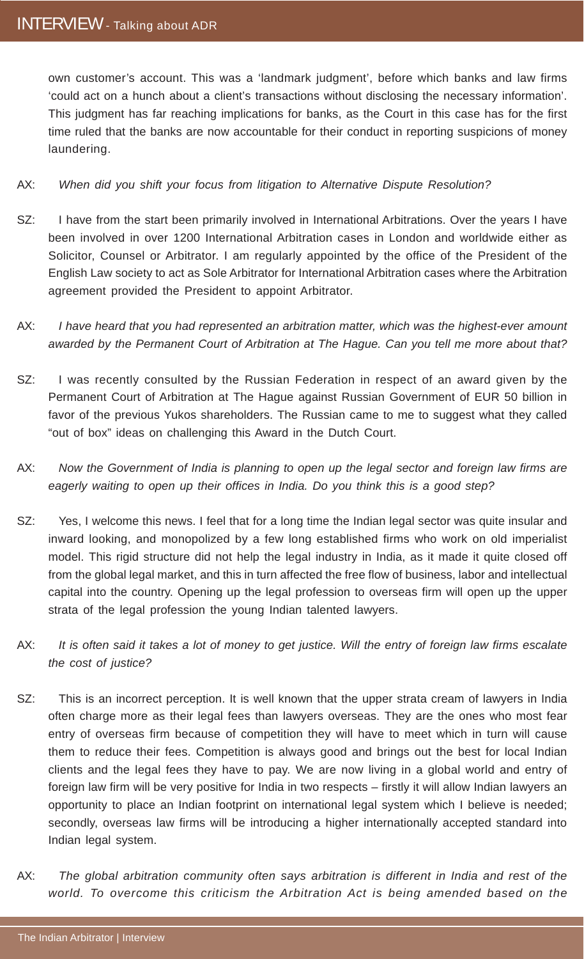own customer's account. This was a 'landmark judgment', before which banks and law firms 'could act on a hunch about a client's transactions without disclosing the necessary information'. This judgment has far reaching implications for banks, as the Court in this case has for the first time ruled that the banks are now accountable for their conduct in reporting suspicions of money laundering.

## AX: *When did you shift your focus from litigation to Alternative Dispute Resolution?*

- SZ: I have from the start been primarily involved in International Arbitrations. Over the years I have been involved in over 1200 International Arbitration cases in London and worldwide either as Solicitor, Counsel or Arbitrator. I am regularly appointed by the office of the President of the English Law society to act as Sole Arbitrator for International Arbitration cases where the Arbitration agreement provided the President to appoint Arbitrator.
- AX: *I have heard that you had represented an arbitration matter, which was the highest-ever amount awarded by the Permanent Court of Arbitration at The Hague. Can you tell me more about that?*
- SZ: I was recently consulted by the Russian Federation in respect of an award given by the Permanent Court of Arbitration at The Hague against Russian Government of EUR 50 billion in favor of the previous Yukos shareholders. The Russian came to me to suggest what they called "out of box" ideas on challenging this Award in the Dutch Court.
- AX: *Now the Government of India is planning to open up the legal sector and foreign law firms are eagerly waiting to open up their offices in India. Do you think this is a good step?*
- SZ: Yes, I welcome this news. I feel that for a long time the Indian legal sector was quite insular and inward looking, and monopolized by a few long established firms who work on old imperialist model. This rigid structure did not help the legal industry in India, as it made it quite closed off from the global legal market, and this in turn affected the free flow of business, labor and intellectual capital into the country. Opening up the legal profession to overseas firm will open up the upper strata of the legal profession the young Indian talented lawyers.
- AX: *It is often said it takes a lot of money to get justice. Will the entry of foreign law firms escalate the cost of justice?*
- SZ: This is an incorrect perception. It is well known that the upper strata cream of lawyers in India often charge more as their legal fees than lawyers overseas. They are the ones who most fear entry of overseas firm because of competition they will have to meet which in turn will cause them to reduce their fees. Competition is always good and brings out the best for local Indian clients and the legal fees they have to pay. We are now living in a global world and entry of foreign law firm will be very positive for India in two respects – firstly it will allow Indian lawyers an opportunity to place an Indian footprint on international legal system which I believe is needed; secondly, overseas law firms will be introducing a higher internationally accepted standard into Indian legal system.
- AX: *The global arbitration community often says arbitration is different in India and rest of the world. To overcome this criticism the Arbitration Act is being amended based on the*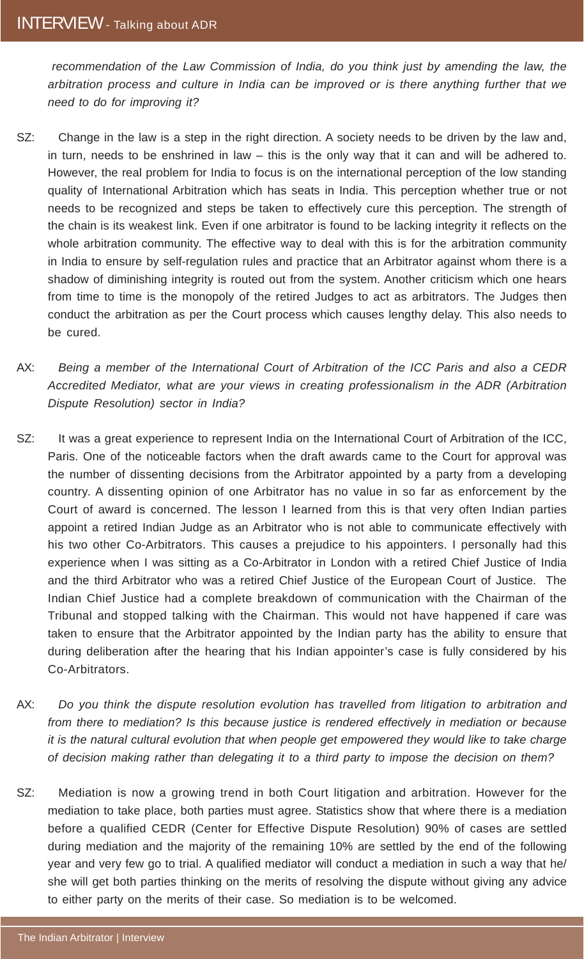*recommendation of the Law Commission of India, do you think just by amending the law, the arbitration process and culture in India can be improved or is there anything further that we need to do for improving it?*

- SZ: Change in the law is a step in the right direction. A society needs to be driven by the law and, in turn, needs to be enshrined in law – this is the only way that it can and will be adhered to. However, the real problem for India to focus is on the international perception of the low standing quality of International Arbitration which has seats in India. This perception whether true or not needs to be recognized and steps be taken to effectively cure this perception. The strength of the chain is its weakest link. Even if one arbitrator is found to be lacking integrity it reflects on the whole arbitration community. The effective way to deal with this is for the arbitration community in India to ensure by self-regulation rules and practice that an Arbitrator against whom there is a shadow of diminishing integrity is routed out from the system. Another criticism which one hears from time to time is the monopoly of the retired Judges to act as arbitrators. The Judges then conduct the arbitration as per the Court process which causes lengthy delay. This also needs to be cured.
- AX: *Being a member of the International Court of Arbitration of the ICC Paris and also a CEDR Accredited Mediator, what are your views in creating professionalism in the ADR (Arbitration Dispute Resolution) sector in India?*
- SZ: It was a great experience to represent India on the International Court of Arbitration of the ICC, Paris. One of the noticeable factors when the draft awards came to the Court for approval was the number of dissenting decisions from the Arbitrator appointed by a party from a developing country. A dissenting opinion of one Arbitrator has no value in so far as enforcement by the Court of award is concerned. The lesson I learned from this is that very often Indian parties appoint a retired Indian Judge as an Arbitrator who is not able to communicate effectively with his two other Co-Arbitrators. This causes a prejudice to his appointers. I personally had this experience when I was sitting as a Co-Arbitrator in London with a retired Chief Justice of India and the third Arbitrator who was a retired Chief Justice of the European Court of Justice. The Indian Chief Justice had a complete breakdown of communication with the Chairman of the Tribunal and stopped talking with the Chairman. This would not have happened if care was taken to ensure that the Arbitrator appointed by the Indian party has the ability to ensure that during deliberation after the hearing that his Indian appointer's case is fully considered by his Co-Arbitrators.
- AX: *Do you think the dispute resolution evolution has travelled from litigation to arbitration and from there to mediation? Is this because justice is rendered effectively in mediation or because it is the natural cultural evolution that when people get empowered they would like to take charge of decision making rather than delegating it to a third party to impose the decision on them?*
- SZ: Mediation is now a growing trend in both Court litigation and arbitration. However for the mediation to take place, both parties must agree. Statistics show that where there is a mediation before a qualified CEDR (Center for Effective Dispute Resolution) 90% of cases are settled during mediation and the majority of the remaining 10% are settled by the end of the following year and very few go to trial. A qualified mediator will conduct a mediation in such a way that he/ she will get both parties thinking on the merits of resolving the dispute without giving any advice to either party on the merits of their case. So mediation is to be welcomed.